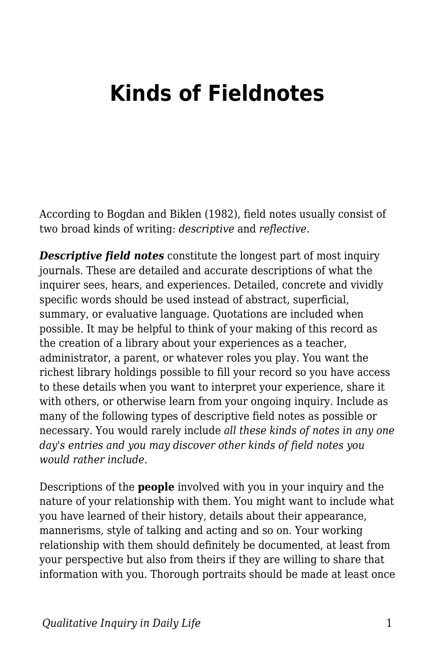## **Kinds of Fieldnotes**

According to Bogdan and Biklen (1982), field notes usually consist of two broad kinds of writing: *descriptive* and *reflective*.

*Descriptive field notes* constitute the longest part of most inquiry journals. These are detailed and accurate descriptions of what the inquirer sees, hears, and experiences. Detailed, concrete and vividly specific words should be used instead of abstract, superficial, summary, or evaluative language. Quotations are included when possible. It may be helpful to think of your making of this record as the creation of a library about your experiences as a teacher, administrator, a parent, or whatever roles you play. You want the richest library holdings possible to fill your record so you have access to these details when you want to interpret your experience, share it with others, or otherwise learn from your ongoing inquiry. Include as many of the following types of descriptive field notes as possible or necessary. You would rarely include *all these kinds of notes in any one day's entries and you may discover other kinds of field notes you would rather include.*

Descriptions of the **people** involved with you in your inquiry and the nature of your relationship with them. You might want to include what you have learned of their history, details about their appearance, mannerisms, style of talking and acting and so on. Your working relationship with them should definitely be documented, at least from your perspective but also from theirs if they are willing to share that information with you. Thorough portraits should be made at least once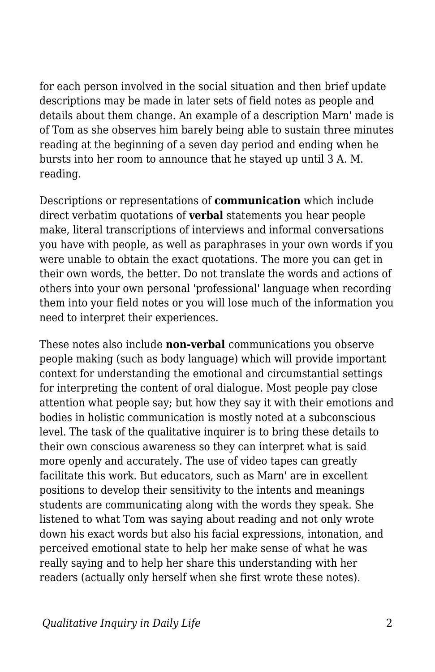for each person involved in the social situation and then brief update descriptions may be made in later sets of field notes as people and details about them change. An example of a description Marn' made is of Tom as she observes him barely being able to sustain three minutes reading at the beginning of a seven day period and ending when he bursts into her room to announce that he stayed up until 3 A. M. reading.

Descriptions or representations of **communication** which include direct verbatim quotations of **verbal** statements you hear people make, literal transcriptions of interviews and informal conversations you have with people, as well as paraphrases in your own words if you were unable to obtain the exact quotations. The more you can get in their own words, the better. Do not translate the words and actions of others into your own personal 'professional' language when recording them into your field notes or you will lose much of the information you need to interpret their experiences.

These notes also include **non-verbal** communications you observe people making (such as body language) which will provide important context for understanding the emotional and circumstantial settings for interpreting the content of oral dialogue. Most people pay close attention what people say; but how they say it with their emotions and bodies in holistic communication is mostly noted at a subconscious level. The task of the qualitative inquirer is to bring these details to their own conscious awareness so they can interpret what is said more openly and accurately. The use of video tapes can greatly facilitate this work. But educators, such as Marn' are in excellent positions to develop their sensitivity to the intents and meanings students are communicating along with the words they speak. She listened to what Tom was saying about reading and not only wrote down his exact words but also his facial expressions, intonation, and perceived emotional state to help her make sense of what he was really saying and to help her share this understanding with her readers (actually only herself when she first wrote these notes).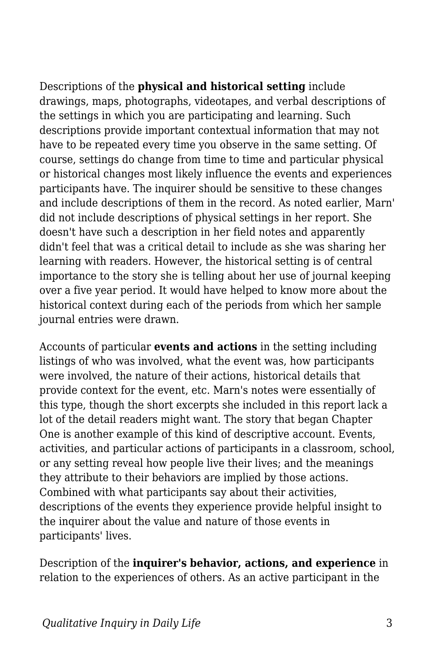Descriptions of the **physical and historical setting** include drawings, maps, photographs, videotapes, and verbal descriptions of the settings in which you are participating and learning. Such descriptions provide important contextual information that may not have to be repeated every time you observe in the same setting. Of course, settings do change from time to time and particular physical or historical changes most likely influence the events and experiences participants have. The inquirer should be sensitive to these changes and include descriptions of them in the record. As noted earlier, Marn' did not include descriptions of physical settings in her report. She doesn't have such a description in her field notes and apparently didn't feel that was a critical detail to include as she was sharing her learning with readers. However, the historical setting is of central importance to the story she is telling about her use of journal keeping over a five year period. It would have helped to know more about the historical context during each of the periods from which her sample journal entries were drawn.

Accounts of particular **events and actions** in the setting including listings of who was involved, what the event was, how participants were involved, the nature of their actions, historical details that provide context for the event, etc. Marn's notes were essentially of this type, though the short excerpts she included in this report lack a lot of the detail readers might want. The story that began Chapter One is another example of this kind of descriptive account. Events, activities, and particular actions of participants in a classroom, school, or any setting reveal how people live their lives; and the meanings they attribute to their behaviors are implied by those actions. Combined with what participants say about their activities, descriptions of the events they experience provide helpful insight to the inquirer about the value and nature of those events in participants' lives.

Description of the **inquirer's behavior, actions, and experience** in relation to the experiences of others. As an active participant in the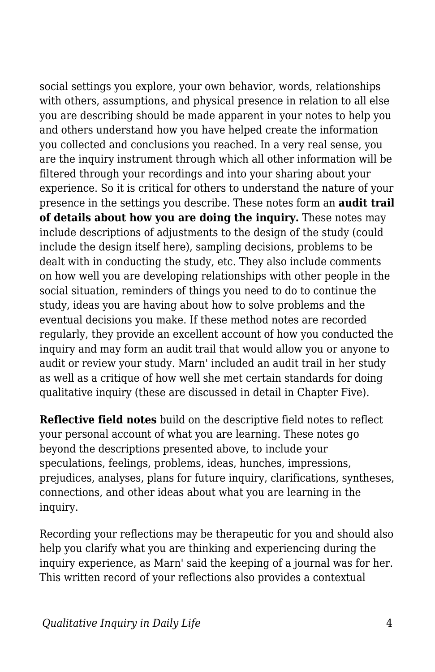social settings you explore, your own behavior, words, relationships with others, assumptions, and physical presence in relation to all else you are describing should be made apparent in your notes to help you and others understand how you have helped create the information you collected and conclusions you reached. In a very real sense, you are the inquiry instrument through which all other information will be filtered through your recordings and into your sharing about your experience. So it is critical for others to understand the nature of your presence in the settings you describe. These notes form an **audit trail of details about how you are doing the inquiry.** These notes may include descriptions of adjustments to the design of the study (could include the design itself here), sampling decisions, problems to be dealt with in conducting the study, etc. They also include comments on how well you are developing relationships with other people in the social situation, reminders of things you need to do to continue the study, ideas you are having about how to solve problems and the eventual decisions you make. If these method notes are recorded regularly, they provide an excellent account of how you conducted the inquiry and may form an audit trail that would allow you or anyone to audit or review your study. Marn' included an audit trail in her study as well as a critique of how well she met certain standards for doing qualitative inquiry (these are discussed in detail in Chapter Five).

**Reflective field notes** build on the descriptive field notes to reflect your personal account of what you are learning. These notes go beyond the descriptions presented above, to include your speculations, feelings, problems, ideas, hunches, impressions, prejudices, analyses, plans for future inquiry, clarifications, syntheses, connections, and other ideas about what you are learning in the inquiry.

Recording your reflections may be therapeutic for you and should also help you clarify what you are thinking and experiencing during the inquiry experience, as Marn' said the keeping of a journal was for her. This written record of your reflections also provides a contextual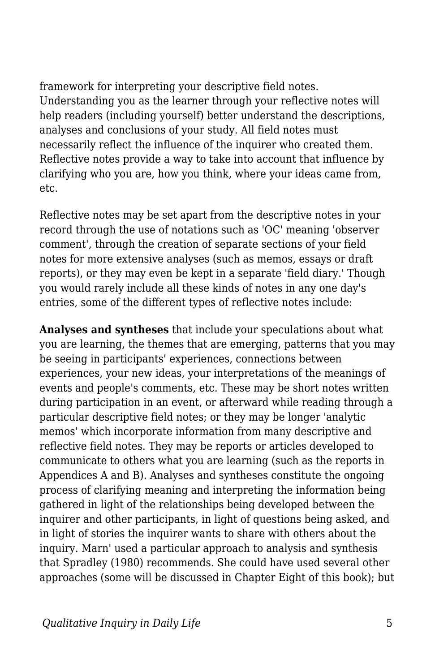framework for interpreting your descriptive field notes. Understanding you as the learner through your reflective notes will help readers (including yourself) better understand the descriptions, analyses and conclusions of your study. All field notes must necessarily reflect the influence of the inquirer who created them. Reflective notes provide a way to take into account that influence by clarifying who you are, how you think, where your ideas came from, etc.

Reflective notes may be set apart from the descriptive notes in your record through the use of notations such as 'OC' meaning 'observer comment', through the creation of separate sections of your field notes for more extensive analyses (such as memos, essays or draft reports), or they may even be kept in a separate 'field diary.' Though you would rarely include all these kinds of notes in any one day's entries, some of the different types of reflective notes include:

**Analyses and syntheses** that include your speculations about what you are learning, the themes that are emerging, patterns that you may be seeing in participants' experiences, connections between experiences, your new ideas, your interpretations of the meanings of events and people's comments, etc. These may be short notes written during participation in an event, or afterward while reading through a particular descriptive field notes; or they may be longer 'analytic memos' which incorporate information from many descriptive and reflective field notes. They may be reports or articles developed to communicate to others what you are learning (such as the reports in Appendices A and B). Analyses and syntheses constitute the ongoing process of clarifying meaning and interpreting the information being gathered in light of the relationships being developed between the inquirer and other participants, in light of questions being asked, and in light of stories the inquirer wants to share with others about the inquiry. Marn' used a particular approach to analysis and synthesis that Spradley (1980) recommends. She could have used several other approaches (some will be discussed in Chapter Eight of this book); but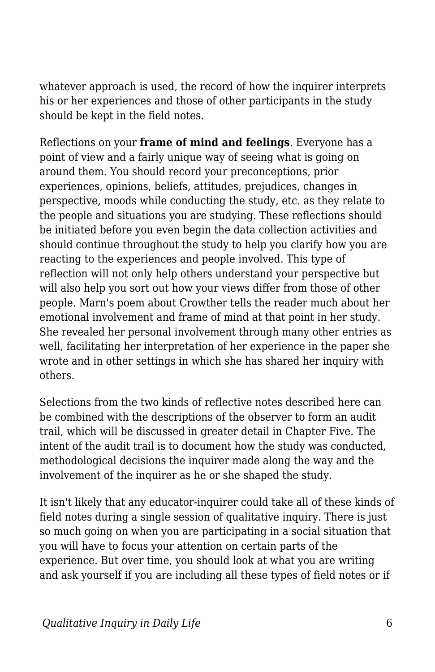whatever approach is used, the record of how the inquirer interprets his or her experiences and those of other participants in the study should be kept in the field notes.

Reflections on your **frame of mind and feelings**. Everyone has a point of view and a fairly unique way of seeing what is going on around them. You should record your preconceptions, prior experiences, opinions, beliefs, attitudes, prejudices, changes in perspective, moods while conducting the study, etc. as they relate to the people and situations you are studying. These reflections should be initiated before you even begin the data collection activities and should continue throughout the study to help you clarify how you are reacting to the experiences and people involved. This type of reflection will not only help others understand your perspective but will also help you sort out how your views differ from those of other people. Marn's poem about Crowther tells the reader much about her emotional involvement and frame of mind at that point in her study. She revealed her personal involvement through many other entries as well, facilitating her interpretation of her experience in the paper she wrote and in other settings in which she has shared her inquiry with others.

Selections from the two kinds of reflective notes described here can be combined with the descriptions of the observer to form an audit trail, which will be discussed in greater detail in Chapter Five. The intent of the audit trail is to document how the study was conducted, methodological decisions the inquirer made along the way and the involvement of the inquirer as he or she shaped the study.

It isn't likely that any educator-inquirer could take all of these kinds of field notes during a single session of qualitative inquiry. There is just so much going on when you are participating in a social situation that you will have to focus your attention on certain parts of the experience. But over time, you should look at what you are writing and ask yourself if you are including all these types of field notes or if